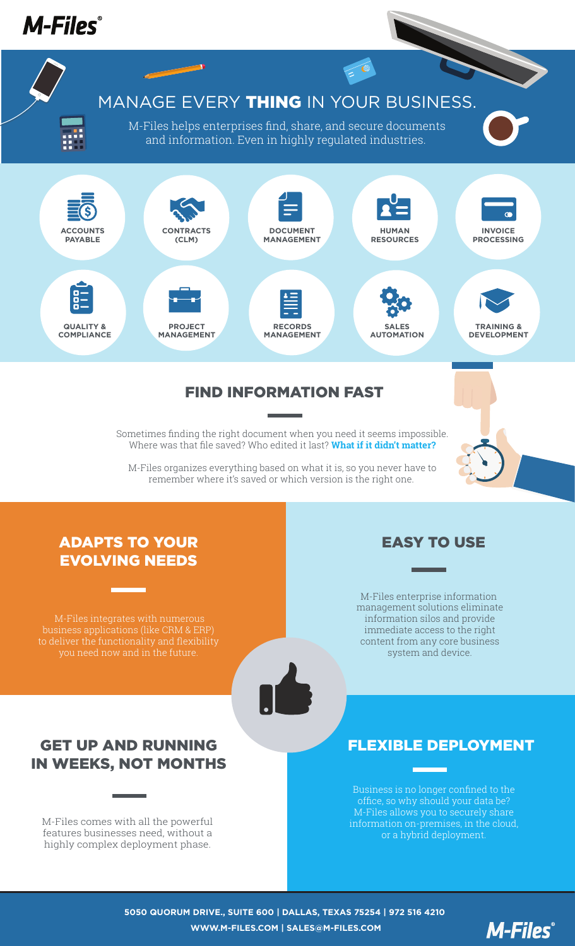

M-Files organizes everything based on what it is, so you never have to remember where it's saved or which version is the right one.

#### ADAPTS TO YOUR EVOLVING NEEDS

M-Files integrates with numerous business applications (like CRM & ERP)



### GET UP AND RUNNING IN WEEKS, NOT MONTHS

M-Files comes with all the powerful features businesses need, without a highly complex deployment phase.

### EASY TO USE

M-Files enterprise information management solutions eliminate information silos and provide immediate access to the right content from any core business system and device.

# FLEXIBLE DEPLOYMENT

Business is no longer confined to the office, so why should your data be? M-Files allows you to securely share information on-premises, in the cloud, or a hybrid deployment.

**5050 QUORUM DRIVE., SUITE 600 | DALLAS, TEXAS 75254 | 972 516 4210 WWW.M-FILES.COM | SALES@M-FILES.COM**